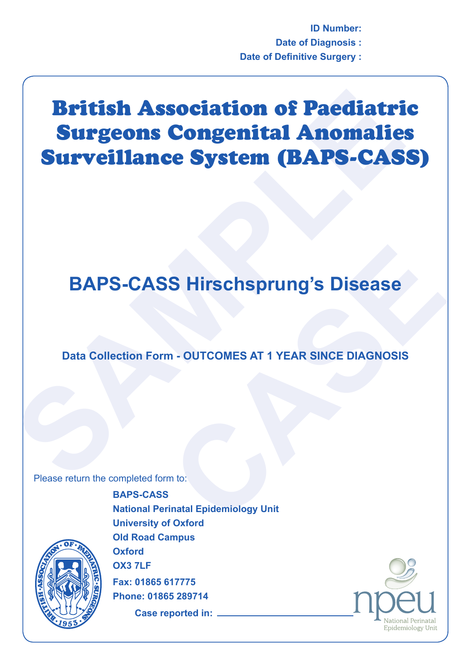**ID Number: Date of Diagnosis : Date of Definitive Surgery :**

## **British Association of Paediatri<br>
Surgeons Congenital Anomalie<br>
Surveillance System (BAPS-CAS<br>
BAPS-CASS Hirschsprung's Disease<br>
Data Collection Form - OUTCOMES AT 1 YEAR SINCE DIAGNOSIS<br>
Please return the completed form** British Association of Paediatric Surgeons Congenital Anomalies Surveillance System (BAPS-CASS)

## **S Hirschsprung's Disease**<br> **CASE AT 1 YEAR SINCE DIAGNOSIS**<br>
The CASE<br>
The CASE<br>
CASE<br>
CASE<br>
CASE<br>
CASE **BAPS-CASS Hirschsprung's Disease**

**Data Collection Form - OUTCOMES AT 1 YEAR SINCE DIAGNOSIS**

Please return the completed form to:



**BAPS-CASS National Perinatal Epidemiology Unit University of Oxford Old Road Campus Oxford OX3 7LF Fax: 01865 617775 Phone: 01865 289714**

**Case reported in:**

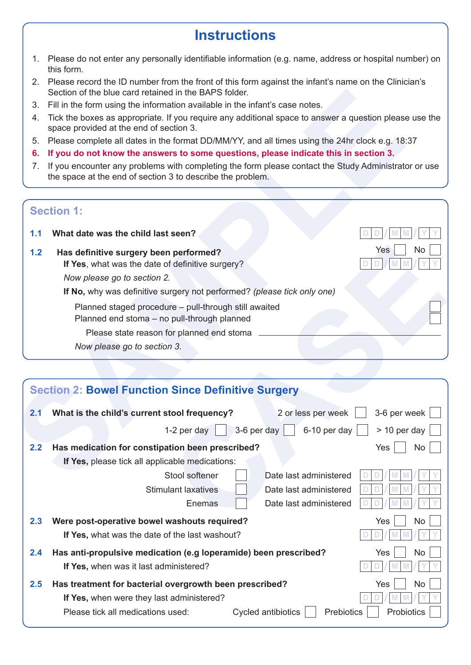## **Instructions**

- 1. Please do not enter any personally identifiable information (e.g. name, address or hospital number) on this form.
- 2. Please record the ID number from the front of this form against the infant's name on the Clinician's Section of the blue card retained in the BAPS folder.
- 3. Fill in the form using the information available in the infant's case notes.
- 4. Tick the boxes as appropriate. If you require any additional space to answer a question please use the space provided at the end of section 3.
- 5. Please complete all dates in the format DD/MM/YY, and all times using the 24hr clock e.g. 18:37
- **6. If you do not know the answers to some questions, please indicate this in section 3.**
- 7. If you encounter any problems with completing the form please contact the Study Administrator or use the space at the end of section 3 to describe the problem.

## **Section 1:**

- **1.1 What date was the child last seen?**
- **1.2 Has definitive surgery been performed? If Yes**, what was the date of definitive surgery?

|     | Section of the blue card retained in the BAPS folder.                                                                                                              |  |  |  |  |  |
|-----|--------------------------------------------------------------------------------------------------------------------------------------------------------------------|--|--|--|--|--|
| 3.  | Fill in the form using the information available in the infant's case notes.                                                                                       |  |  |  |  |  |
| 4.  | Tick the boxes as appropriate. If you require any additional space to answer a question please use the<br>space provided at the end of section 3.                  |  |  |  |  |  |
| 5.  | Please complete all dates in the format DD/MM/YY, and all times using the 24hr clock e.g. 18:37                                                                    |  |  |  |  |  |
| 6.  | If you do not know the answers to some questions, please indicate this in section 3.                                                                               |  |  |  |  |  |
| 7.  | If you encounter any problems with completing the form please contact the Study Administrator or use<br>the space at the end of section 3 to describe the problem. |  |  |  |  |  |
|     | <b>Section 1:</b>                                                                                                                                                  |  |  |  |  |  |
| 1.1 | What date was the child last seen?                                                                                                                                 |  |  |  |  |  |
| 1.2 | No<br>Yes<br>Has definitive surgery been performed?<br>If Yes, what was the date of definitive surgery?                                                            |  |  |  |  |  |
|     | Now please go to section 2.                                                                                                                                        |  |  |  |  |  |
|     | If No, why was definitive surgery not performed? (please tick only one)                                                                                            |  |  |  |  |  |
|     | Planned staged procedure - pull-through still awaited                                                                                                              |  |  |  |  |  |
|     | Planned end stoma - no pull-through planned                                                                                                                        |  |  |  |  |  |
|     | Please state reason for planned end stoma                                                                                                                          |  |  |  |  |  |
|     | Now please go to section 3.                                                                                                                                        |  |  |  |  |  |
|     |                                                                                                                                                                    |  |  |  |  |  |
|     |                                                                                                                                                                    |  |  |  |  |  |
|     |                                                                                                                                                                    |  |  |  |  |  |
|     | <b>Section 2: Bowel Function Since Definitive Surgery</b>                                                                                                          |  |  |  |  |  |
| 2.1 | What is the child's current stool frequency?<br>2 or less per week<br>3-6 per week                                                                                 |  |  |  |  |  |
|     | $> 10$ per day<br>3-6 per day<br>6-10 per day<br>1-2 per day                                                                                                       |  |  |  |  |  |
| 2.2 | Has medication for constipation been prescribed?<br>Yes<br>No                                                                                                      |  |  |  |  |  |
|     | If Yes, please tick all applicable medications:                                                                                                                    |  |  |  |  |  |
|     | Stool softener<br>Date last administered                                                                                                                           |  |  |  |  |  |
|     | <b>Stimulant laxatives</b><br>Date last administered                                                                                                               |  |  |  |  |  |
|     | Date last administered<br>Enemas                                                                                                                                   |  |  |  |  |  |
| 2.3 | Were post-operative bowel washouts required?<br>No<br>Yes                                                                                                          |  |  |  |  |  |
|     | If Yes, what was the date of the last washout?                                                                                                                     |  |  |  |  |  |
| 2.4 | Has anti-propulsive medication (e.g loperamide) been prescribed?<br>No<br>Yes                                                                                      |  |  |  |  |  |
|     | If Yes, when was it last administered?                                                                                                                             |  |  |  |  |  |
| 2.5 | Has treatment for bacterial overgrowth been prescribed?<br>No<br>Yes                                                                                               |  |  |  |  |  |
|     | If Yes, when were they last administered?                                                                                                                          |  |  |  |  |  |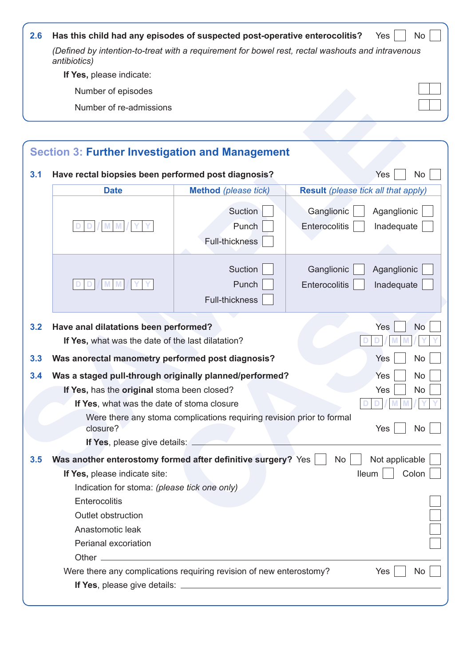| <b>2.6</b> | Has this child had any episodes of suspected post-operative enterocolitis?                                        | Yes | No. |
|------------|-------------------------------------------------------------------------------------------------------------------|-----|-----|
|            | (Defined by intention-to-treat with a requirement for bowel rest, rectal washouts and intravenous<br>antibiotics) |     |     |
|            | If Yes, please indicate:                                                                                          |     |     |
|            | Number of episodes                                                                                                |     |     |
|            | Number of re-admissions                                                                                           |     |     |

| 3.1 | Have rectal biopsies been performed post diagnosis?                                                                                                  |                                                                       |                                            | <b>Yes</b><br><b>No</b>                 |
|-----|------------------------------------------------------------------------------------------------------------------------------------------------------|-----------------------------------------------------------------------|--------------------------------------------|-----------------------------------------|
|     | <b>Date</b>                                                                                                                                          | <b>Method</b> (please tick)                                           | <b>Result</b> (please tick all that apply) |                                         |
|     |                                                                                                                                                      | Suction<br>Punch<br><b>Full-thickness</b>                             | Ganglionic<br>Enterocolitis                | Aganglionic<br>Inadequate               |
|     | M<br>M                                                                                                                                               | Suction<br>Punch<br>Full-thickness                                    | Ganglionic<br>Enterocolitis                | Aganglionic<br>Inadequate               |
| 3.2 | Have anal dilatations been performed?<br>If Yes, what was the date of the last dilatation?                                                           | Yes<br><b>No</b>                                                      |                                            |                                         |
| 3.3 | Was anorectal manometry performed post diagnosis?<br>Yes                                                                                             |                                                                       |                                            | No                                      |
| 3.4 | Was a staged pull-through originally planned/performed?<br>If Yes, has the original stoma been closed?<br>If Yes, what was the date of stoma closure |                                                                       |                                            | Yes<br><b>No</b><br>Yes<br><b>No</b>    |
|     | closure?<br>If Yes, please give details:                                                                                                             | Were there any stoma complications requiring revision prior to formal |                                            | Yes<br>No                               |
| 3.5 | Was another enterostomy formed after definitive surgery? Yes<br>If Yes, please indicate site:<br>Indication for stoma: (please tick one only)        |                                                                       | No                                         | Not applicable<br>Colon<br><b>Ileum</b> |
|     | Enterocolitis<br>Outlet obstruction<br>Anastomotic leak<br>Perianal excoriation                                                                      |                                                                       |                                            |                                         |